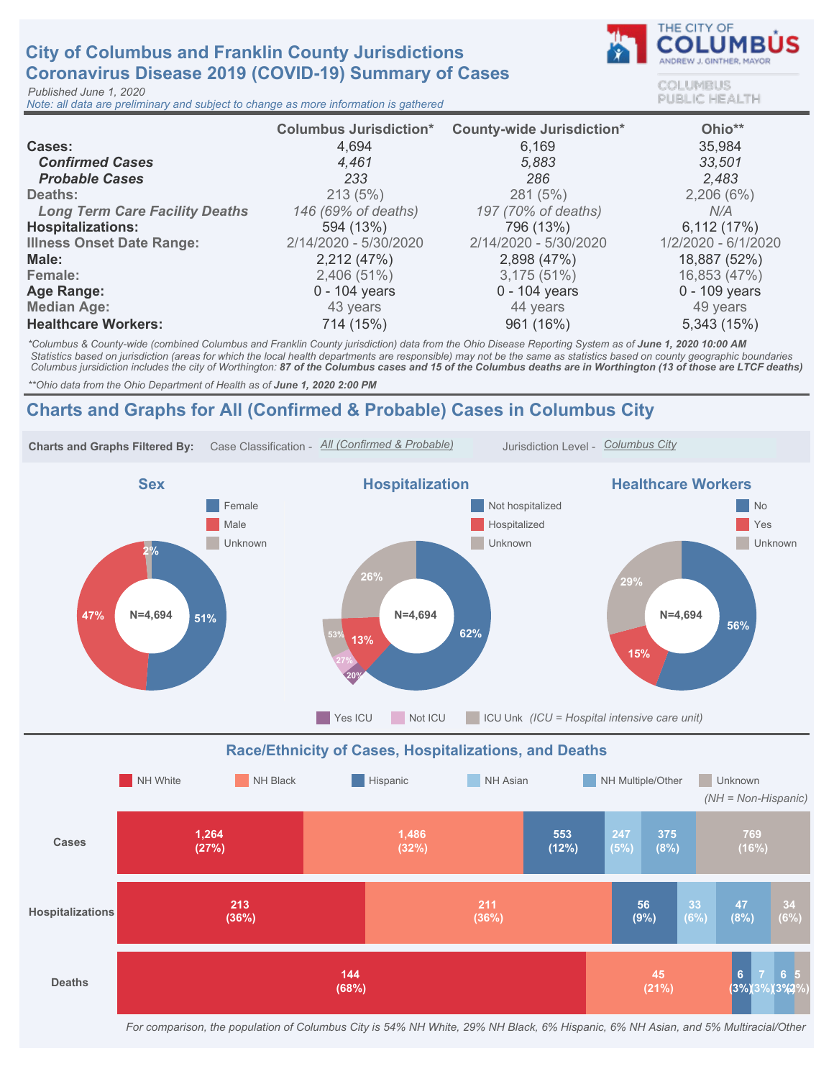# City of Columbus and Franklin County Jurisdictions Coronavirus Disease 2019 (COVID-19) Summary of Cases

Published June 1, 2020

Note: all data are preliminary and subject to change as more information is gathered



COLUMBUS **PUBLIC HEALTH** 

|                                       | <b>Columbus Jurisdiction*</b> | <b>County-wide Jurisdiction*</b> | Ohio**              |
|---------------------------------------|-------------------------------|----------------------------------|---------------------|
| <b>Cases:</b>                         | 4,694                         | 6,169                            | 35,984              |
| <b>Confirmed Cases</b>                | 4.461                         | 5,883                            | 33,501              |
| <b>Probable Cases</b>                 | 233                           | 286                              | 2.483               |
| Deaths:                               | 213(5%)                       | 281 (5%)                         | 2,206(6%)           |
| <b>Long Term Care Facility Deaths</b> | 146 (69% of deaths)           | 197 (70% of deaths)              | N/A                 |
| <b>Hospitalizations:</b>              | 594 (13%)                     | 796 (13%)                        | 6,112(17%)          |
| <b>Illness Onset Date Range:</b>      | 2/14/2020 - 5/30/2020         | 2/14/2020 - 5/30/2020            | 1/2/2020 - 6/1/2020 |
| Male:                                 | 2,212 (47%)                   | 2,898 (47%)                      | 18,887 (52%)        |
| Female:                               | 2,406 (51%)                   | 3,175(51%)                       | 16,853 (47%)        |
| Age Range:                            | $0 - 104$ years               | $0 - 104$ years                  | 0 - 109 years       |
| <b>Median Age:</b>                    | 43 years                      | 44 years                         | 49 years            |
| <b>Healthcare Workers:</b>            | 714 (15%)                     | 961 (16%)                        | 5,343 (15%)         |

\*Columbus & County-wide (combined Columbus and Franklin County jurisdiction) data from the Ohio Disease Reporting System as of June 1, 2020 10:00 AM Statistics based on jurisdiction (areas for which the local health departments are responsible) may not be the same as statistics based on county geographic boundaries Columbus jursidiction includes the city of Worthington: 87 of the Columbus cases and 15 of the Columbus deaths are in Worthington (13 of those are LTCF deaths)

\*\* Ohio data from the Ohio Department of Health as of June 1, 2020 2:00 PM

## Charts and Graphs for All (Confirmed & Probable) Cases in Columbus City



For comparison, the population of Columbus City is 54% NH White, 29% NH Black, 6% Hispanic, 6% NH Asian, and 5% Multiracial/Other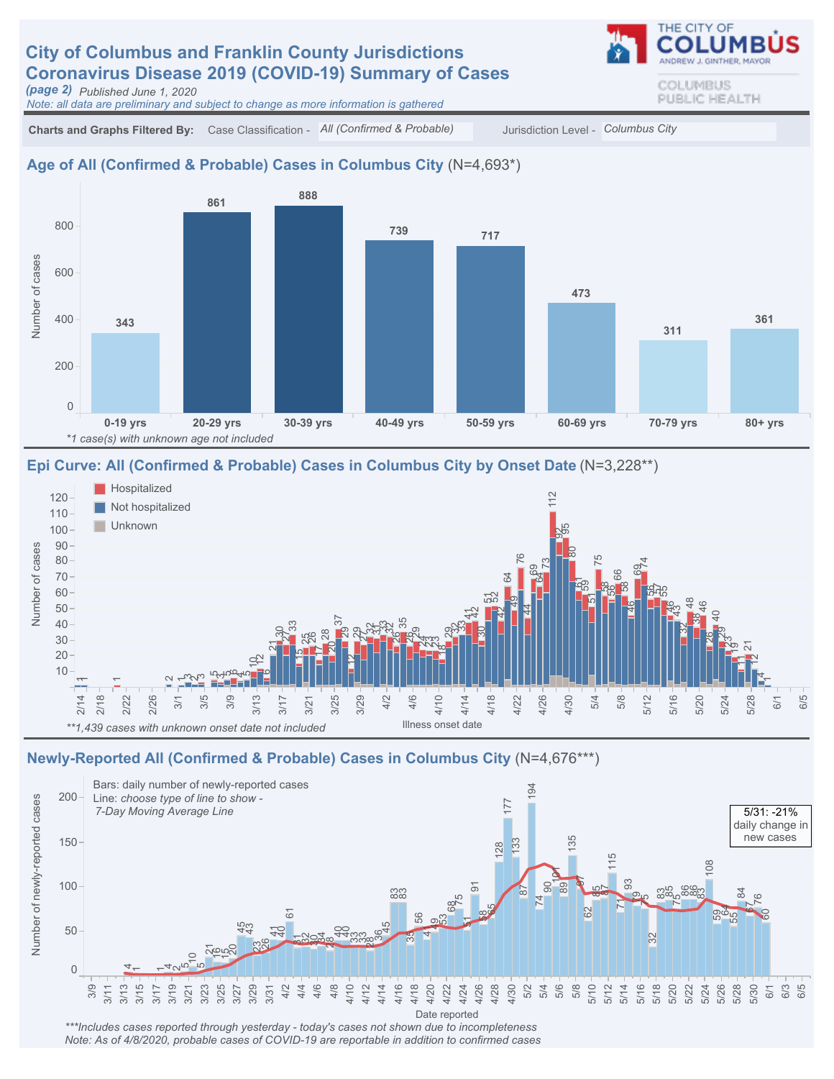# **City of Columbus and Franklin County Jurisdictions** Coronavirus Disease 2019 (COVID-19) Summary of Cases

(page 2) Published June 1, 2020

Note: all data are preliminary and subject to change as more information is gathered

Charts and Graphs Filtered By: Case Classification - All (Confirmed & Probable) Jurisdiction Level - Columbus City

#### Age of All (Confirmed & Probable) Cases in Columbus City (N=4,693\*)



#### Epi Curve: All (Confirmed & Probable) Cases in Columbus City by Onset Date (N=3,228\*\*)



#### Newly-Reported All (Confirmed & Probable) Cases in Columbus City (N=4,676\*\*\*)



\*\*\*Includes cases reported through yesterday - today's cases not shown due to incompleteness Note: As of 4/8/2020, probable cases of COVID-19 are reportable in addition to confirmed cases